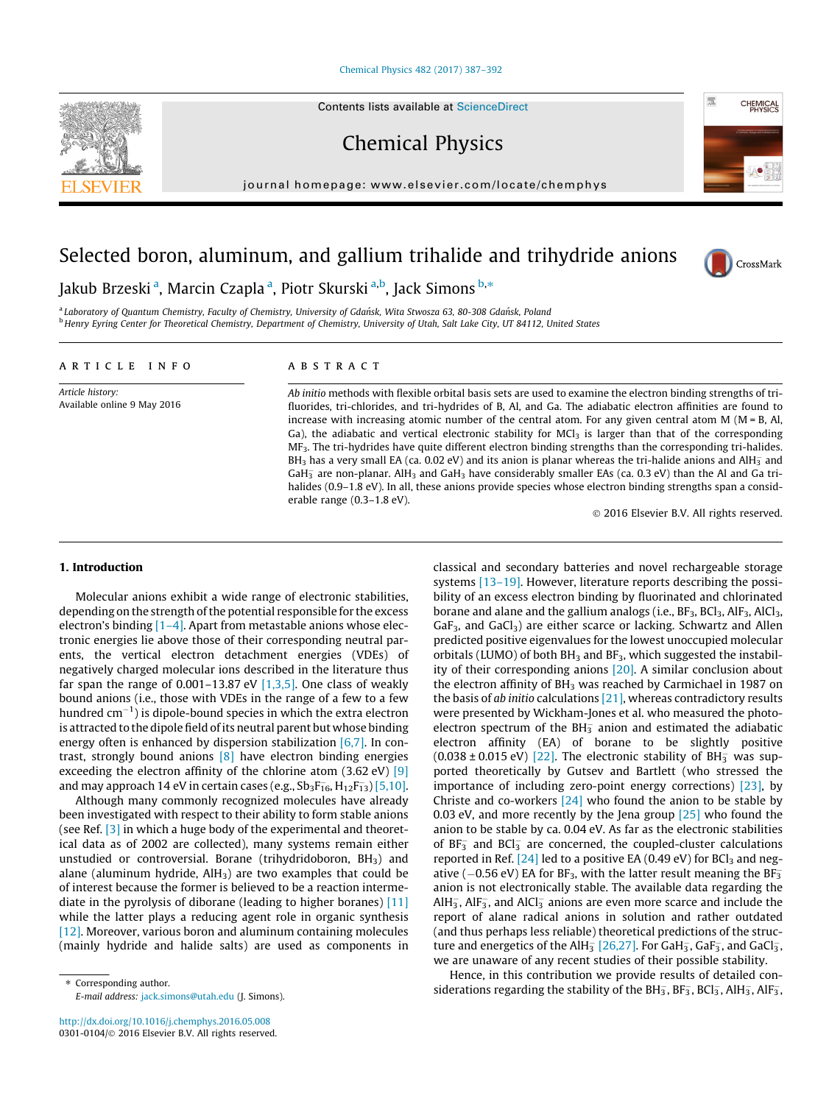#### [Chemical Physics 482 \(2017\) 387–392](http://dx.doi.org/10.1016/j.chemphys.2016.05.008)

Chemical Physics

journal homepage: [www.elsevier.com/locate/chemphys](http://www.elsevier.com/locate/chemphys)

# Selected boron, aluminum, and gallium trihalide and trihydride anions



**CHEMICAL** 

瘸

Jakub Brzeski <sup>a</sup>, Marcin Czapla <sup>a</sup>, Piotr Skurski <sup>a,b</sup>, Jack Simons <sup>b,</sup>\*

a Laboratory of Quantum Chemistry, Faculty of Chemistry, University of Gdańsk, Wita Stwosza 63, 80-308 Gdańsk, Poland <sup>b</sup> Henry Eyring Center for Theoretical Chemistry, Department of Chemistry, University of Utah, Salt Lake City, UT 84112, United States

# article info

Article history: Available online 9 May 2016

# **ABSTRACT**

Ab initio methods with flexible orbital basis sets are used to examine the electron binding strengths of trifluorides, tri-chlorides, and tri-hydrides of B, Al, and Ga. The adiabatic electron affinities are found to increase with increasing atomic number of the central atom. For any given central atom  $M (M = B, AI,$ Ga), the adiabatic and vertical electronic stability for  $MCl<sub>3</sub>$  is larger than that of the corresponding MF3. The tri-hydrides have quite different electron binding strengths than the corresponding tri-halides. BH<sub>3</sub> has a very small EA (ca. 0.02 eV) and its anion is planar whereas the tri-halide anions and AlH<sub>3</sub> and GaH<sub>3</sub> are non-planar. AlH<sub>3</sub> and GaH<sub>3</sub> have considerably smaller EAs (ca. 0.3 eV) than the Al and Ga trihalides (0.9–1.8 eV). In all, these anions provide species whose electron binding strengths span a considerable range (0.3–1.8 eV).

2016 Elsevier B.V. All rights reserved.

### 1. Introduction

Molecular anions exhibit a wide range of electronic stabilities, depending on the strength of the potential responsible for the excess electron's binding  $[1-4]$ . Apart from metastable anions whose electronic energies lie above those of their corresponding neutral parents, the vertical electron detachment energies (VDEs) of negatively charged molecular ions described in the literature thus far span the range of  $0.001-13.87$  eV  $[1,3,5]$ . One class of weakly bound anions (i.e., those with VDEs in the range of a few to a few hundred cm $^{-1}$ ) is dipole-bound species in which the extra electron is attracted to the dipole field of its neutral parent but whose binding energy often is enhanced by dispersion stabilization  $[6,7]$ . In contrast, strongly bound anions [\[8\]](#page-5-0) have electron binding energies exceeding the electron affinity of the chlorine atom (3.62 eV) [\[9\]](#page-5-0) and may approach 14 eV in certain cases (e.g., Sb $_3F_{16}$ , H $_{12}F_{13}$ ) [\[5,10\].](#page-5-0)

Although many commonly recognized molecules have already been investigated with respect to their ability to form stable anions (see Ref. [\[3\]](#page-5-0) in which a huge body of the experimental and theoretical data as of 2002 are collected), many systems remain either unstudied or controversial. Borane (trihydridoboron,  $BH<sub>3</sub>$ ) and alane (aluminum hydride,  $AH<sub>3</sub>$ ) are two examples that could be of interest because the former is believed to be a reaction intermediate in the pyrolysis of diborane (leading to higher boranes) [\[11\]](#page-5-0) while the latter plays a reducing agent role in organic synthesis [\[12\].](#page-5-0) Moreover, various boron and aluminum containing molecules (mainly hydride and halide salts) are used as components in classical and secondary batteries and novel rechargeable storage systems [\[13–19\]](#page-5-0). However, literature reports describing the possibility of an excess electron binding by fluorinated and chlorinated borane and alane and the gallium analogs (i.e.,  $BF_3$ ,  $BCI_3$ ,  $AIF_3$ ,  $AICI_3$ ,  $GaF<sub>3</sub>$ , and  $GaCl<sub>3</sub>$ ) are either scarce or lacking. Schwartz and Allen predicted positive eigenvalues for the lowest unoccupied molecular orbitals (LUMO) of both  $BH<sub>3</sub>$  and  $BF<sub>3</sub>$ , which suggested the instability of their corresponding anions [\[20\].](#page-5-0) A similar conclusion about the electron affinity of  $BH<sub>3</sub>$  was reached by Carmichael in 1987 on the basis of ab initio calculations [\[21\],](#page-5-0) whereas contradictory results were presented by Wickham-Jones et al. who measured the photoelectron spectrum of the BH $_2^-$  anion and estimated the adiabatic electron affinity (EA) of borane to be slightly positive  $(0.038 \pm 0.015 \text{ eV})$  [\[22\].](#page-5-0) The electronic stability of BH $_3^-$  was supported theoretically by Gutsev and Bartlett (who stressed the importance of including zero-point energy corrections) [\[23\]](#page-5-0), by Christe and co-workers  $[24]$  who found the anion to be stable by 0.03 eV, and more recently by the Jena group  $[25]$  who found the anion to be stable by ca. 0.04 eV. As far as the electronic stabilities of  $BF_3^-$  and  $BCI_3^-$  are concerned, the coupled-cluster calculations reported in Ref.  $[24]$  led to a positive EA (0.49 eV) for BCl<sub>3</sub> and negative ( $-0.56$  eV) EA for BF<sub>3</sub>, with the latter result meaning the BF<sub>3</sub> anion is not electronically stable. The available data regarding the AlH<sub>3</sub>, AlF<sub>3</sub>, and AlCl<sub>3</sub> anions are even more scarce and include the report of alane radical anions in solution and rather outdated (and thus perhaps less reliable) theoretical predictions of the structure and energetics of the AlH $_3^-$  [\[26,27\]](#page-5-0). For GaH $_3^-$ , GaF $_3^-$ , and GaCl $_3^-$ , we are unaware of any recent studies of their possible stability.

Hence, in this contribution we provide results of detailed considerations regarding the stability of the BH $_3$ , BF $_3$ , BCl $_3$ , AlH $_3$ , AlF $_3$ ,

<span id="page-0-0"></span>

<sup>⇑</sup> Corresponding author. E-mail address: [jack.simons@utah.edu](mailto:jack.simons@utah.edu) (J. Simons).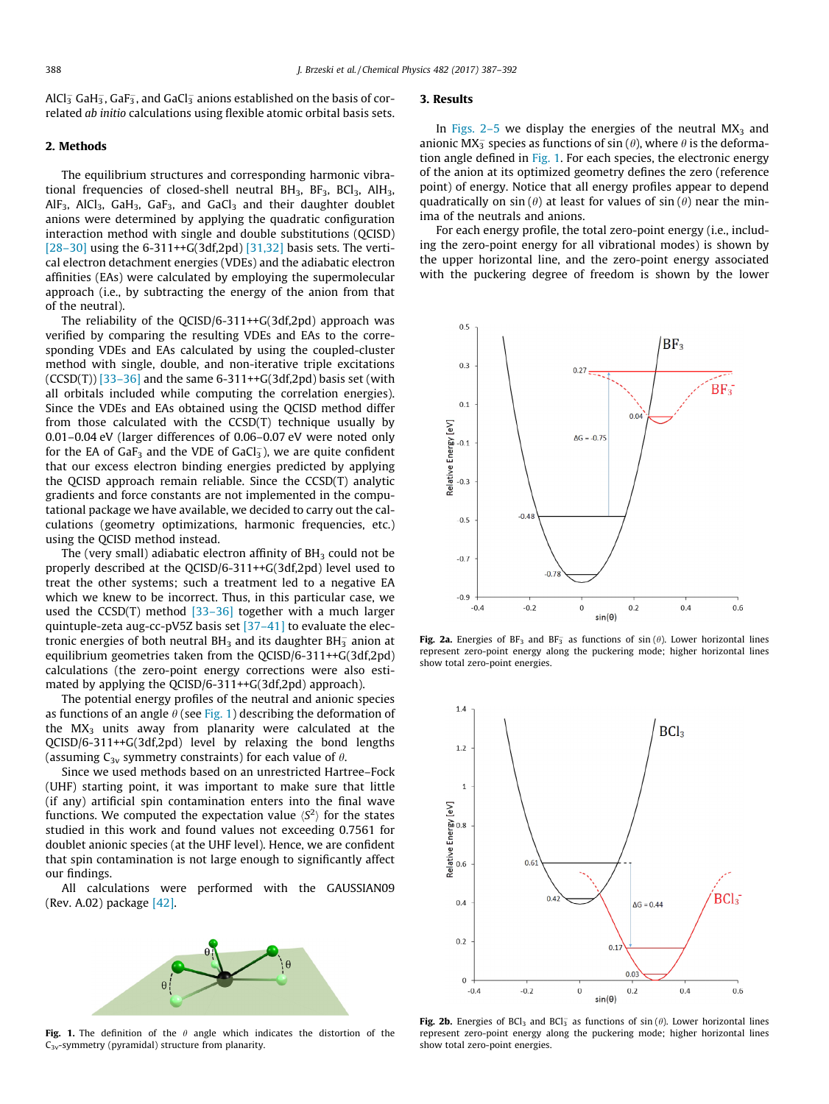<span id="page-1-0"></span>AlCl $_3^-$  GaH $_3^-$ , GaF $_3^-$ , and GaCl $_3^-$  anions established on the basis of correlated ab initio calculations using flexible atomic orbital basis sets.

## 2. Methods

The equilibrium structures and corresponding harmonic vibrational frequencies of closed-shell neutral  $BH<sub>3</sub>$ ,  $BF<sub>3</sub>$ ,  $BCl<sub>3</sub>$ ,  $AH<sub>3</sub>$ ,  $AlF_3$ ,  $AlCl_3$ ,  $GalF_3$ ,  $GalF_3$ , and  $GalG_3$  and their daughter doublet anions were determined by applying the quadratic configuration interaction method with single and double substitutions (QCISD) [\[28–30\]](#page-5-0) using the 6-311++G(3df,2pd) [\[31,32\]](#page-5-0) basis sets. The vertical electron detachment energies (VDEs) and the adiabatic electron affinities (EAs) were calculated by employing the supermolecular approach (i.e., by subtracting the energy of the anion from that of the neutral).

The reliability of the QCISD/6-311++G(3df,2pd) approach was verified by comparing the resulting VDEs and EAs to the corresponding VDEs and EAs calculated by using the coupled-cluster method with single, double, and non-iterative triple excitations  $(CCSD(T))$  [\[33–36\]](#page-5-0) and the same 6-311++G(3df,2pd) basis set (with all orbitals included while computing the correlation energies). Since the VDEs and EAs obtained using the QCISD method differ from those calculated with the CCSD(T) technique usually by 0.01–0.04 eV (larger differences of 0.06–0.07 eV were noted only for the EA of GaF $_3$  and the VDE of GaCl $_3^-$ ), we are quite confident that our excess electron binding energies predicted by applying the QCISD approach remain reliable. Since the CCSD(T) analytic gradients and force constants are not implemented in the computational package we have available, we decided to carry out the calculations (geometry optimizations, harmonic frequencies, etc.) using the QCISD method instead.

The (very small) adiabatic electron affinity of  $BH<sub>3</sub>$  could not be properly described at the QCISD/6-311++G(3df,2pd) level used to treat the other systems; such a treatment led to a negative EA which we knew to be incorrect. Thus, in this particular case, we used the CCSD(T) method  $[33-36]$  together with a much larger quintuple-zeta aug-cc-pV5Z basis set [\[37–41\]](#page-5-0) to evaluate the electronic energies of both neutral BH<sub>3</sub> and its daughter BH $_{\rm 3}$  anion at equilibrium geometries taken from the QCISD/6-311++G(3df,2pd) calculations (the zero-point energy corrections were also estimated by applying the QCISD/6-311++G(3df,2pd) approach).

The potential energy profiles of the neutral and anionic species as functions of an angle  $\theta$  (see Fig. 1) describing the deformation of the  $MX<sub>3</sub>$  units away from planarity were calculated at the QCISD/6-311++G(3df,2pd) level by relaxing the bond lengths (assuming  $C_{3v}$  symmetry constraints) for each value of  $\theta$ .

Since we used methods based on an unrestricted Hartree–Fock (UHF) starting point, it was important to make sure that little (if any) artificial spin contamination enters into the final wave functions. We computed the expectation value  $\langle S^2 \rangle$  for the states studied in this work and found values not exceeding 0.7561 for doublet anionic species (at the UHF level). Hence, we are confident that spin contamination is not large enough to significantly affect our findings.

All calculations were performed with the GAUSSIAN09 (Rev. A.02) package [\[42\]](#page-5-0).



Fig. 1. The definition of the  $\theta$  angle which indicates the distortion of the  $C_{3v}$ -symmetry (pyramidal) structure from planarity.

# 3. Results

In Figs.  $2-5$  we display the energies of the neutral MX<sub>3</sub> and anionic MX<sub>3</sub> species as functions of sin ( $\theta$ ), where  $\theta$  is the deformation angle defined in Fig. 1. For each species, the electronic energy of the anion at its optimized geometry defines the zero (reference point) of energy. Notice that all energy profiles appear to depend quadratically on sin ( $\theta$ ) at least for values of sin ( $\theta$ ) near the minima of the neutrals and anions.

For each energy profile, the total zero-point energy (i.e., including the zero-point energy for all vibrational modes) is shown by the upper horizontal line, and the zero-point energy associated with the puckering degree of freedom is shown by the lower



Fig. 2a. Energies of BF<sub>3</sub> and BF<sub>3</sub> as functions of sin ( $\theta$ ). Lower horizontal lines represent zero-point energy along the puckering mode; higher horizontal lines show total zero-point energies.



Fig. 2b. Energies of BCl<sub>3</sub> and BCl<sub>3</sub> as functions of sin ( $\theta$ ). Lower horizontal lines represent zero-point energy along the puckering mode; higher horizontal lines show total zero-point energies.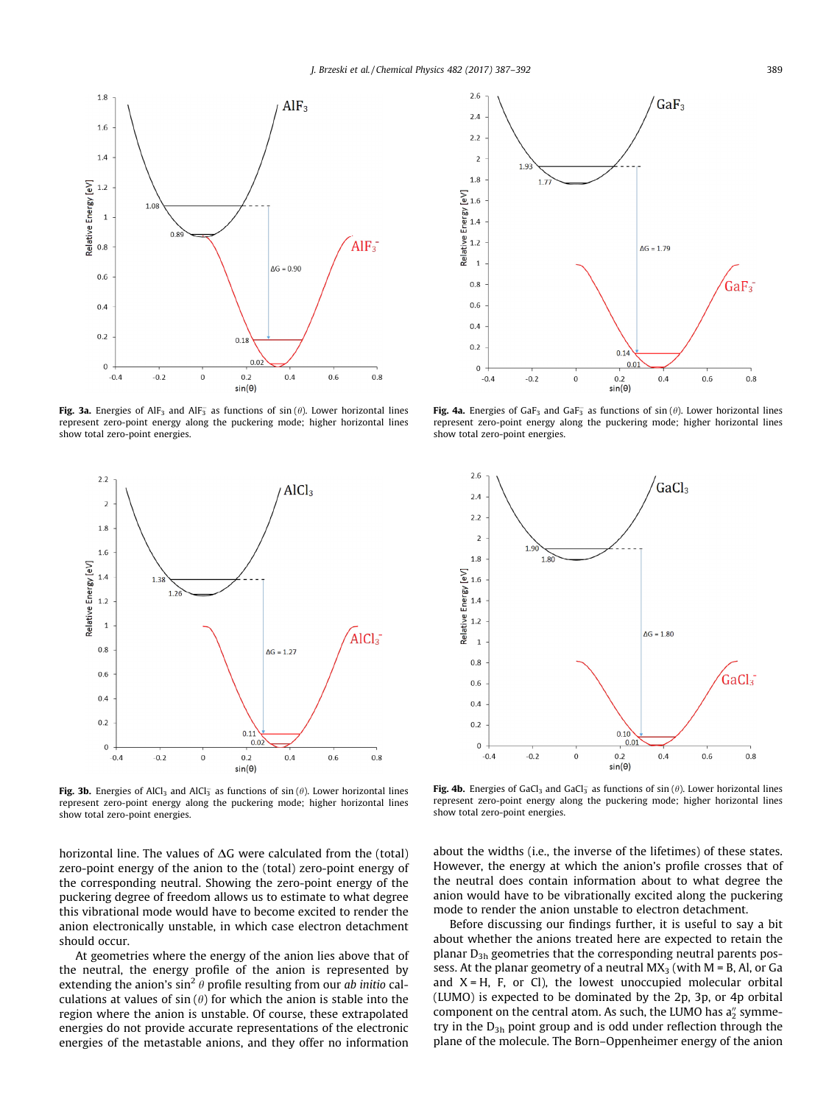

Fig. 3a. Energies of AlF<sub>3</sub> and AlF<sub>3</sub> as functions of sin ( $\theta$ ). Lower horizontal lines represent zero-point energy along the puckering mode; higher horizontal lines show total zero-point energies.



Fig. 3b. Energies of AlCl<sub>3</sub> and AlCl<sub>3</sub> as functions of sin  $(\theta)$ . Lower horizontal lines represent zero-point energy along the puckering mode; higher horizontal lines show total zero-point energies.

horizontal line. The values of  $\Delta G$  were calculated from the (total) zero-point energy of the anion to the (total) zero-point energy of the corresponding neutral. Showing the zero-point energy of the puckering degree of freedom allows us to estimate to what degree this vibrational mode would have to become excited to render the anion electronically unstable, in which case electron detachment should occur.

At geometries where the energy of the anion lies above that of the neutral, the energy profile of the anion is represented by extending the anion's  $\sin^2 \theta$  profile resulting from our ab initio calculations at values of  $sin(\theta)$  for which the anion is stable into the region where the anion is unstable. Of course, these extrapolated energies do not provide accurate representations of the electronic energies of the metastable anions, and they offer no information



Fig. 4a. Energies of GaF<sub>3</sub> and GaF<sub>3</sub> as functions of  $sin(\theta)$ . Lower horizontal lines represent zero-point energy along the puckering mode; higher horizontal lines show total zero-point energies.



Fig. 4b. Energies of GaCl<sub>3</sub> and GaCl<sub>3</sub> as functions of sin ( $\theta$ ). Lower horizontal lines represent zero-point energy along the puckering mode; higher horizontal lines show total zero-point energies.

about the widths (i.e., the inverse of the lifetimes) of these states. However, the energy at which the anion's profile crosses that of the neutral does contain information about to what degree the anion would have to be vibrationally excited along the puckering mode to render the anion unstable to electron detachment.

Before discussing our findings further, it is useful to say a bit about whether the anions treated here are expected to retain the planar  $D_{3h}$  geometries that the corresponding neutral parents possess. At the planar geometry of a neutral  $MX<sub>3</sub>$  (with  $M = B$ , Al, or Ga and  $X = H$ , F, or Cl), the lowest unoccupied molecular orbital (LUMO) is expected to be dominated by the 2p, 3p, or 4p orbital component on the central atom. As such, the LUMO has  $a_2''$  symmetry in the  $D_{3h}$  point group and is odd under reflection through the plane of the molecule. The Born–Oppenheimer energy of the anion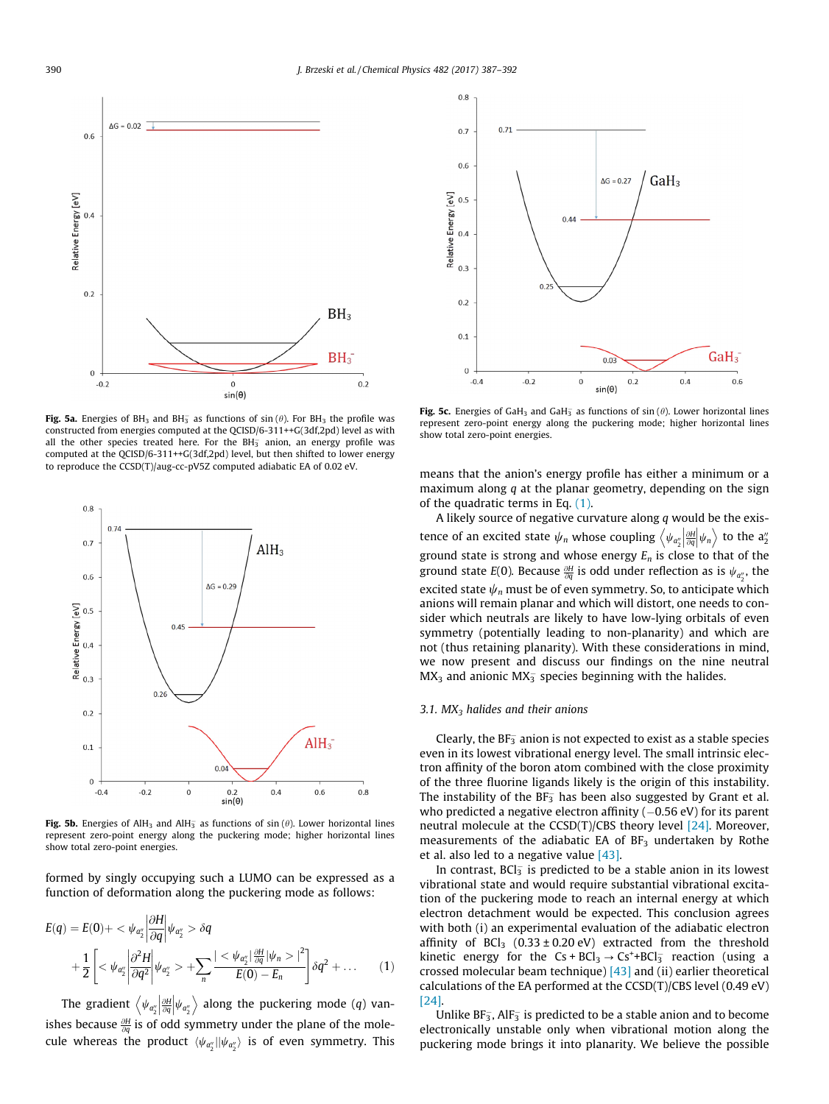

Fig. 5a. Energies of BH<sub>3</sub> and BH<sub>3</sub> as functions of sin ( $\theta$ ). For BH<sub>3</sub> the profile was constructed from energies computed at the QCISD/6-311++G(3df,2pd) level as with all the other species treated here. For the BH $_3^-$  anion, an energy profile was computed at the QCISD/6-311++G(3df,2pd) level, but then shifted to lower energy to reproduce the CCSD(T)/aug-cc-pV5Z computed adiabatic EA of 0.02 eV.



Fig. 5b. Energies of AlH<sub>3</sub> and AlH<sub>3</sub> as functions of sin ( $\theta$ ). Lower horizontal lines represent zero-point energy along the puckering mode; higher horizontal lines show total zero-point energies.

formed by singly occupying such a LUMO can be expressed as a function of deformation along the puckering mode as follows:

$$
E(q) = E(0) + \langle \psi_{a_2} \rangle \left| \frac{\partial H}{\partial q} \right| \psi_{a_2} \rangle \delta q
$$
  
+ 
$$
\frac{1}{2} \left[ \langle \psi_{a_2} \rangle \left| \frac{\partial^2 H}{\partial q^2} \right| \psi_{a_2} \rangle + \sum_n \frac{|\langle \psi_{a_2} \rangle|^{\frac{\partial H}{\partial q}}}{E(0) - E_n} |\delta q^2 + \dots \right] (1)
$$

The gradient  $\left\langle \psi_{a_2^{\prime\prime}} \middle| \frac{\partial H}{\partial q} \right\rangle$  $\left\langle \psi_{a_2''}\middle|\frac{\partial H}{\partial q}\middle|\psi_{a_2''}\right\rangle$  along the puckering mode (q) vanishes because  $\frac{\partial H}{\partial q}$  is of odd symmetry under the plane of the molecule whereas the product  $\langle \psi_{a_2^{\prime\prime}}| | \psi_{a_2^{\prime\prime}} \rangle$  is of even symmetry. This



Fig. 5c. Energies of GaH<sub>3</sub> and GaH<sub>3</sub> as functions of sin ( $\theta$ ). Lower horizontal lines represent zero-point energy along the puckering mode; higher horizontal lines show total zero-point energies.

means that the anion's energy profile has either a minimum or a maximum along  $q$  at the planar geometry, depending on the sign of the quadratic terms in Eq. (1).

A likely source of negative curvature along  $q$  would be the existence of an excited state  $\psi_n$  whose coupling  $\left\langle \psi_{a_2^n} \middle| \frac{\partial H}{\partial q} \middle| \psi_n \right\rangle$  to the  $a_2^n$ ground state is strong and whose energy  $E_n$  is close to that of the ground state  $E(0)$ . Because  $\frac{\partial H}{\partial q}$  is odd under reflection as is  $\psi_{a_2^{\prime\prime}}$ , the excited state  $\psi_n$  must be of even symmetry. So, to anticipate which anions will remain planar and which will distort, one needs to consider which neutrals are likely to have low-lying orbitals of even symmetry (potentially leading to non-planarity) and which are not (thus retaining planarity). With these considerations in mind, we now present and discuss our findings on the nine neutral  $MX<sub>3</sub>$  and anionic  $MX<sub>3</sub>$  species beginning with the halides.

### 3.1.  $MX_3$  halides and their anions

Clearly, the BF $_3^-$  anion is not expected to exist as a stable species even in its lowest vibrational energy level. The small intrinsic electron affinity of the boron atom combined with the close proximity of the three fluorine ligands likely is the origin of this instability. The instability of the BF $_3^-$  has been also suggested by Grant et al. who predicted a negative electron affinity  $(-0.56 \text{ eV})$  for its parent neutral molecule at the CCSD(T)/CBS theory level  $[24]$ . Moreover, measurements of the adiabatic EA of  $BF<sub>3</sub>$  undertaken by Rothe et al. also led to a negative value  $[43]$ .

In contrast,  $BCI_3^-$  is predicted to be a stable anion in its lowest vibrational state and would require substantial vibrational excitation of the puckering mode to reach an internal energy at which electron detachment would be expected. This conclusion agrees with both (i) an experimental evaluation of the adiabatic electron affinity of  $BCI_3$  (0.33 ± 0.20 eV) extracted from the threshold kinetic energy for the  $Cs + BCl_3 \rightarrow Cs^+ + BCl_3^-$  reaction (using a crossed molecular beam technique)  $[43]$  and (ii) earlier theoretical calculations of the EA performed at the CCSD(T)/CBS level (0.49 eV) [\[24\]](#page-5-0).

Unlike  $BF_3$ , Al $F_3$  is predicted to be a stable anion and to become electronically unstable only when vibrational motion along the puckering mode brings it into planarity. We believe the possible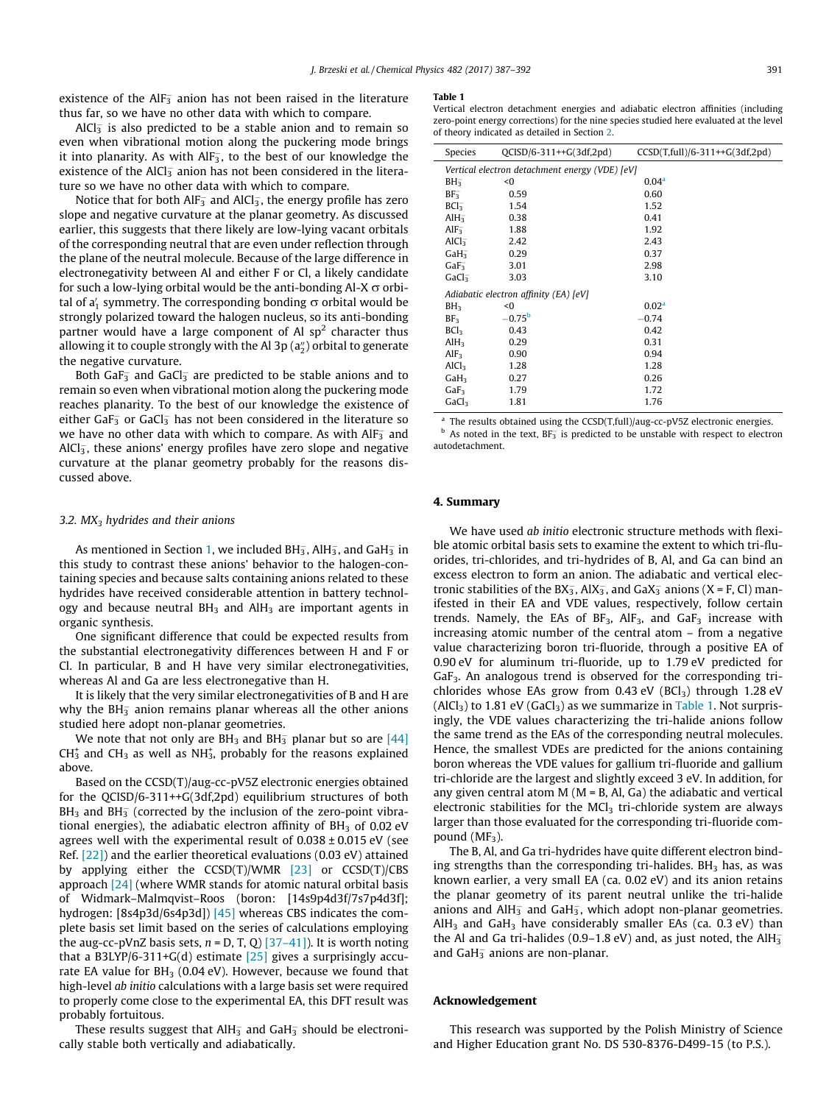existence of the AlF $_3^-$  anion has not been raised in the literature thus far, so we have no other data with which to compare.

AlCl $_3^-$  is also predicted to be a stable anion and to remain so even when vibrational motion along the puckering mode brings it into planarity. As with AlF $_3^{\!-}$ , to the best of our knowledge the existence of the AlCl $_3^-$  anion has not been considered in the literature so we have no other data with which to compare.

Notice that for both AlF $_{\overline{3}}$  and AlCl $_{\overline{3}}$ , the energy profile has zero slope and negative curvature at the planar geometry. As discussed earlier, this suggests that there likely are low-lying vacant orbitals of the corresponding neutral that are even under reflection through the plane of the neutral molecule. Because of the large difference in electronegativity between Al and either F or Cl, a likely candidate for such a low-lying orbital would be the anti-bonding Al-X  $\sigma$  orbital of a $_1^\prime$  symmetry. The corresponding bonding  $\sigma$  orbital would be strongly polarized toward the halogen nucleus, so its anti-bonding partner would have a large component of Al  $sp<sup>2</sup>$  character thus allowing it to couple strongly with the Al 3p (a $_2^{\prime\prime}$ ) orbital to generate the negative curvature.

Both GaF $_3^-$  and GaCl $_3^-$  are predicted to be stable anions and to remain so even when vibrational motion along the puckering mode reaches planarity. To the best of our knowledge the existence of either GaF $_3^-$  or GaCl $_3^-$  has not been considered in the literature so we have no other data with which to compare. As with AlF $_3^-$  and AlCl $_3^{\rm -}$ , these anions' energy profiles have zero slope and negative curvature at the planar geometry probably for the reasons discussed above.

#### 3.2.  $MX_3$  hydrides and their anions

As mentioned in Section [1,](#page-0-0) we included BH<sub>3</sub>, AlH<sub>3</sub>, and GaH<sub>3</sub> in this study to contrast these anions' behavior to the halogen-containing species and because salts containing anions related to these hydrides have received considerable attention in battery technology and because neutral  $BH<sub>3</sub>$  and  $AH<sub>3</sub>$  are important agents in organic synthesis.

One significant difference that could be expected results from the substantial electronegativity differences between H and F or Cl. In particular, B and H have very similar electronegativities, whereas Al and Ga are less electronegative than H.

It is likely that the very similar electronegativities of B and H are why the BH $_3^-$  anion remains planar whereas all the other anions studied here adopt non-planar geometries.

We note that not only are BH<sub>3</sub> and BH $_2^-$  planar but so are [\[44\]](#page-5-0)  $CH_3^+$  and  $CH_3$  as well as NH<sub>3</sub>, probably for the reasons explained above.

Based on the CCSD(T)/aug-cc-pV5Z electronic energies obtained for the QCISD/6-311++G(3df,2pd) equilibrium structures of both BH<sub>3</sub> and BH<sub>3</sub> (corrected by the inclusion of the zero-point vibrational energies), the adiabatic electron affinity of  $BH<sub>3</sub>$  of 0.02 eV agrees well with the experimental result of  $0.038 \pm 0.015$  eV (see Ref. [\[22\]](#page-5-0)) and the earlier theoretical evaluations (0.03 eV) attained by applying either the CCSD(T)/WMR [\[23\]](#page-5-0) or CCSD(T)/CBS approach [\[24\]](#page-5-0) (where WMR stands for atomic natural orbital basis of Widmark–Malmqvist–Roos (boron: [14s9p4d3f/7s7p4d3f]; hydrogen: [8s4p3d/6s4p3d]) [\[45\]](#page-5-0) whereas CBS indicates the complete basis set limit based on the series of calculations employing the aug-cc-pVnZ basis sets,  $n = D, T, Q$  [\[37–41\]](#page-5-0)). It is worth noting that a B3LYP/6-311+G(d) estimate  $[25]$  gives a surprisingly accurate EA value for  $BH<sub>3</sub>$  (0.04 eV). However, because we found that high-level ab initio calculations with a large basis set were required to properly come close to the experimental EA, this DFT result was probably fortuitous.

These results suggest that AlH $_3^-$  and GaH $_3^-$  should be electronically stable both vertically and adiabatically.

#### Table 1

Vertical electron detachment energies and adiabatic electron affinities (including zero-point energy corrections) for the nine species studied here evaluated at the level of theory indicated as detailed in Section [2.](#page-1-0)

| Species                                        | $OCISD/6-311++G(3df,2pd)$ | $CCSD(T, full)/6-311++G(3df,2pd)$ |
|------------------------------------------------|---------------------------|-----------------------------------|
| Vertical electron detachment energy (VDE) [eV] |                           |                                   |
| BH <sub>3</sub>                                | <0                        | 0.04 <sup>a</sup>                 |
| $BF_{3}^-$                                     | 0.59                      | 0.60                              |
| BCl <sub>3</sub>                               | 1.54                      | 1.52                              |
| AlH <sub>3</sub>                               | 0.38                      | 0.41                              |
| AlF <sub>3</sub>                               | 1.88                      | 1.92                              |
| AlCl <sub>3</sub>                              | 2.42                      | 2.43                              |
| GaH <sub>3</sub>                               | 0.29                      | 0.37                              |
| GaF <sub>3</sub>                               | 3.01                      | 2.98                              |
| Gal <sub>3</sub>                               | 3.03                      | 3.10                              |
| Adiabatic electron affinity (EA) [eV]          |                           |                                   |
| BH <sub>3</sub>                                | $\leq 0$                  | 0.02 <sup>a</sup>                 |
| BF <sub>3</sub>                                | $-0.75^{\rm b}$           | $-0.74$                           |
| BCl <sub>3</sub>                               | 0.43                      | 0.42                              |
| AlH <sub>3</sub>                               | 0.29                      | 0.31                              |
| AlF <sub>3</sub>                               | 0.90                      | 0.94                              |
| AlCl <sub>3</sub>                              | 1.28                      | 1.28                              |
| $GaH_3$                                        | 0.27                      | 0.26                              |
| GaF <sub>3</sub>                               | 1.79                      | 1.72                              |
| Gal <sub>3</sub>                               | 1.81                      | 1.76                              |

<sup>a</sup> The results obtained using the CCSD(T,full)/aug-cc-pV5Z electronic energies.  $<sup>b</sup>$  As noted in the text, BF<sub>3</sub> is predicted to be unstable with respect to electron</sup> autodetachment.

## 4. Summary

We have used ab initio electronic structure methods with flexible atomic orbital basis sets to examine the extent to which tri-fluorides, tri-chlorides, and tri-hydrides of B, Al, and Ga can bind an excess electron to form an anion. The adiabatic and vertical electronic stabilities of the  $BX_3^-$ , Al $X_3^-$ , and Ga $X_3^-$  anions (X = F, Cl) manifested in their EA and VDE values, respectively, follow certain trends. Namely, the EAs of BF<sub>3</sub>, AlF<sub>3</sub>, and GaF<sub>3</sub> increase with increasing atomic number of the central atom – from a negative value characterizing boron tri-fluoride, through a positive EA of 0.90 eV for aluminum tri-fluoride, up to 1.79 eV predicted for  $GaF<sub>3</sub>$ . An analogous trend is observed for the corresponding trichlorides whose EAs grow from  $0.43$  eV (BCl<sub>3</sub>) through 1.28 eV  $(AlCl<sub>3</sub>)$  to 1.81 eV  $(GaCl<sub>3</sub>)$  as we summarize in Table 1. Not surprisingly, the VDE values characterizing the tri-halide anions follow the same trend as the EAs of the corresponding neutral molecules. Hence, the smallest VDEs are predicted for the anions containing boron whereas the VDE values for gallium tri-fluoride and gallium tri-chloride are the largest and slightly exceed 3 eV. In addition, for any given central atom  $M$  ( $M = B$ , Al, Ga) the adiabatic and vertical electronic stabilities for the  $MCl<sub>3</sub>$  tri-chloride system are always larger than those evaluated for the corresponding tri-fluoride compound  $(MF_3)$ .

The B, Al, and Ga tri-hydrides have quite different electron binding strengths than the corresponding tri-halides.  $BH<sub>3</sub>$  has, as was known earlier, a very small EA (ca. 0.02 eV) and its anion retains the planar geometry of its parent neutral unlike the tri-halide anions and  $AH_{3}^-$  and GaH<sub>3</sub>, which adopt non-planar geometries.  $AH<sub>3</sub>$  and GaH<sub>3</sub> have considerably smaller EAs (ca. 0.3 eV) than the Al and Ga tri-halides (0.9–1.8 eV) and, as just noted, the AlH $_3^$ and GaH $_3^-$  anions are non-planar.

#### Acknowledgement

This research was supported by the Polish Ministry of Science and Higher Education grant No. DS 530-8376-D499-15 (to P.S.).